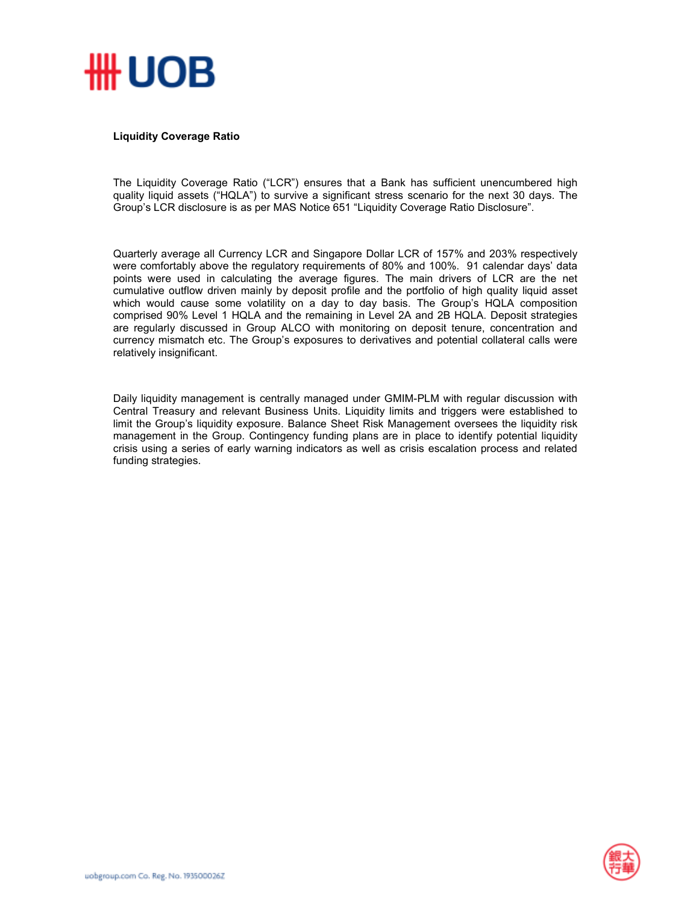

## **Liquidity Coverage Ratio**

The Liquidity Coverage Ratio ("LCR") ensures that a Bank has sufficient unencumbered high quality liquid assets ("HQLA") to survive a significant stress scenario for the next 30 days. The Group's LCR disclosure is as per MAS Notice 651 "Liquidity Coverage Ratio Disclosure".

Quarterly average all Currency LCR and Singapore Dollar LCR of 157% and 203% respectively were comfortably above the regulatory requirements of 80% and 100%. 91 calendar days' data points were used in calculating the average figures. The main drivers of LCR are the net cumulative outflow driven mainly by deposit profile and the portfolio of high quality liquid asset which would cause some volatility on a day to day basis. The Group's HQLA composition comprised 90% Level 1 HQLA and the remaining in Level 2A and 2B HQLA. Deposit strategies are regularly discussed in Group ALCO with monitoring on deposit tenure, concentration and currency mismatch etc. The Group's exposures to derivatives and potential collateral calls were relatively insignificant.

Daily liquidity management is centrally managed under GMIM-PLM with regular discussion with Central Treasury and relevant Business Units. Liquidity limits and triggers were established to limit the Group's liquidity exposure. Balance Sheet Risk Management oversees the liquidity risk management in the Group. Contingency funding plans are in place to identify potential liquidity crisis using a series of early warning indicators as well as crisis escalation process and related funding strategies.

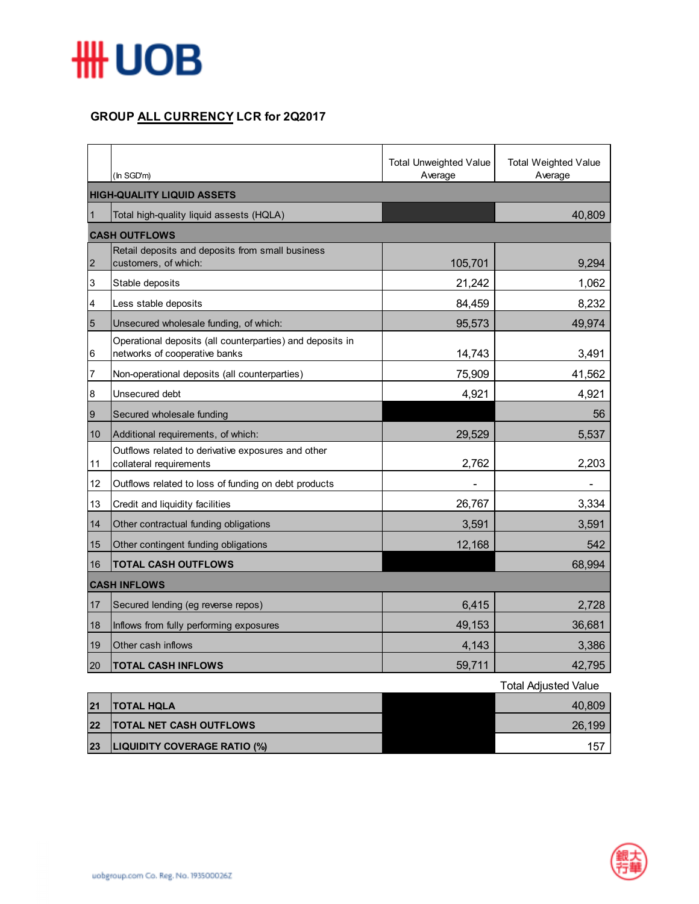

## **GROUP ALL CURRENCY LCR for 2Q2017**

|                         | (In SGD'm)                                                                                 | <b>Total Unweighted Value</b><br>Average | <b>Total Weighted Value</b><br>Average |  |  |
|-------------------------|--------------------------------------------------------------------------------------------|------------------------------------------|----------------------------------------|--|--|
|                         | <b>HIGH-QUALITY LIQUID ASSETS</b>                                                          |                                          |                                        |  |  |
| $\vert$ 1               | Total high-quality liquid assests (HQLA)                                                   |                                          | 40,809                                 |  |  |
|                         | <b>CASH OUTFLOWS</b>                                                                       |                                          |                                        |  |  |
| $\overline{2}$          | Retail deposits and deposits from small business<br>customers, of which:                   | 105,701                                  | 9,294                                  |  |  |
| 3                       | Stable deposits                                                                            | 21,242                                   | 1,062                                  |  |  |
| $\overline{\mathbf{4}}$ | Less stable deposits                                                                       | 84,459                                   | 8,232                                  |  |  |
| $5\overline{5}$         | Unsecured wholesale funding, of which:                                                     | 95,573                                   | 49,974                                 |  |  |
| $6\phantom{.}6$         | Operational deposits (all counterparties) and deposits in<br>networks of cooperative banks | 14,743                                   | 3,491                                  |  |  |
| 7                       | Non-operational deposits (all counterparties)                                              | 75,909                                   | 41,562                                 |  |  |
| 8                       | Unsecured debt                                                                             | 4,921                                    | 4,921                                  |  |  |
| 9                       | Secured wholesale funding                                                                  |                                          | 56                                     |  |  |
| 10                      | Additional requirements, of which:                                                         | 29,529                                   | 5,537                                  |  |  |
| 11                      | Outflows related to derivative exposures and other<br>collateral requirements              | 2,762                                    | 2,203                                  |  |  |
| 12                      | Outflows related to loss of funding on debt products                                       |                                          |                                        |  |  |
| 13                      | Credit and liquidity facilities                                                            | 26,767                                   | 3,334                                  |  |  |
| 14                      | Other contractual funding obligations                                                      | 3,591                                    | 3,591                                  |  |  |
| 15                      | Other contingent funding obligations                                                       | 12,168                                   | 542                                    |  |  |
| 16                      | <b>TOTAL CASH OUTFLOWS</b>                                                                 |                                          | 68,994                                 |  |  |
| <b>CASH INFLOWS</b>     |                                                                                            |                                          |                                        |  |  |
| 17                      | Secured lending (eg reverse repos)                                                         | 6,415                                    | 2,728                                  |  |  |
| 18                      | Inflows from fully performing exposures                                                    | 49,153                                   | 36,681                                 |  |  |
| 19                      | Other cash inflows                                                                         | 4,143                                    | 3,386                                  |  |  |
| 20                      | <b>TOTAL CASH INFLOWS</b>                                                                  | 59,711                                   | 42,795                                 |  |  |
|                         |                                                                                            |                                          | Total Adjusted Value                   |  |  |

|    |                                     | <b>Total Adjusted Value</b> |
|----|-------------------------------------|-----------------------------|
| 21 | <b>TOTAL HQLA</b>                   | 40,809                      |
| 22 | <b>TOTAL NET CASH OUTFLOWS</b>      | 26,199                      |
| 23 | <b>LIQUIDITY COVERAGE RATIO (%)</b> | 157                         |